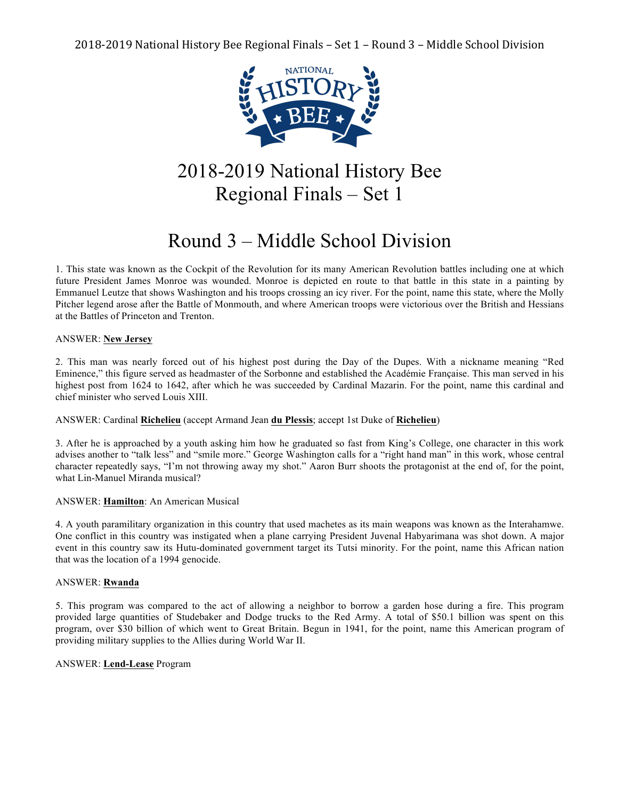

# 2018-2019 National History Bee Regional Finals – Set 1

# Round 3 – Middle School Division

1. This state was known as the Cockpit of the Revolution for its many American Revolution battles including one at which future President James Monroe was wounded. Monroe is depicted en route to that battle in this state in a painting by Emmanuel Leutze that shows Washington and his troops crossing an icy river. For the point, name this state, where the Molly Pitcher legend arose after the Battle of Monmouth, and where American troops were victorious over the British and Hessians at the Battles of Princeton and Trenton.

# ANSWER: **New Jersey**

2. This man was nearly forced out of his highest post during the Day of the Dupes. With a nickname meaning "Red Eminence," this figure served as headmaster of the Sorbonne and established the Académie Française. This man served in his highest post from 1624 to 1642, after which he was succeeded by Cardinal Mazarin. For the point, name this cardinal and chief minister who served Louis XIII.

# ANSWER: Cardinal **Richelieu** (accept Armand Jean **du Plessis**; accept 1st Duke of **Richelieu**)

3. After he is approached by a youth asking him how he graduated so fast from King's College, one character in this work advises another to "talk less" and "smile more." George Washington calls for a "right hand man" in this work, whose central character repeatedly says, "I'm not throwing away my shot." Aaron Burr shoots the protagonist at the end of, for the point, what Lin-Manuel Miranda musical?

# ANSWER: **Hamilton**: An American Musical

4. A youth paramilitary organization in this country that used machetes as its main weapons was known as the Interahamwe. One conflict in this country was instigated when a plane carrying President Juvenal Habyarimana was shot down. A major event in this country saw its Hutu-dominated government target its Tutsi minority. For the point, name this African nation that was the location of a 1994 genocide.

# ANSWER: **Rwanda**

5. This program was compared to the act of allowing a neighbor to borrow a garden hose during a fire. This program provided large quantities of Studebaker and Dodge trucks to the Red Army. A total of \$50.1 billion was spent on this program, over \$30 billion of which went to Great Britain. Begun in 1941, for the point, name this American program of providing military supplies to the Allies during World War II.

# ANSWER: **Lend-Lease** Program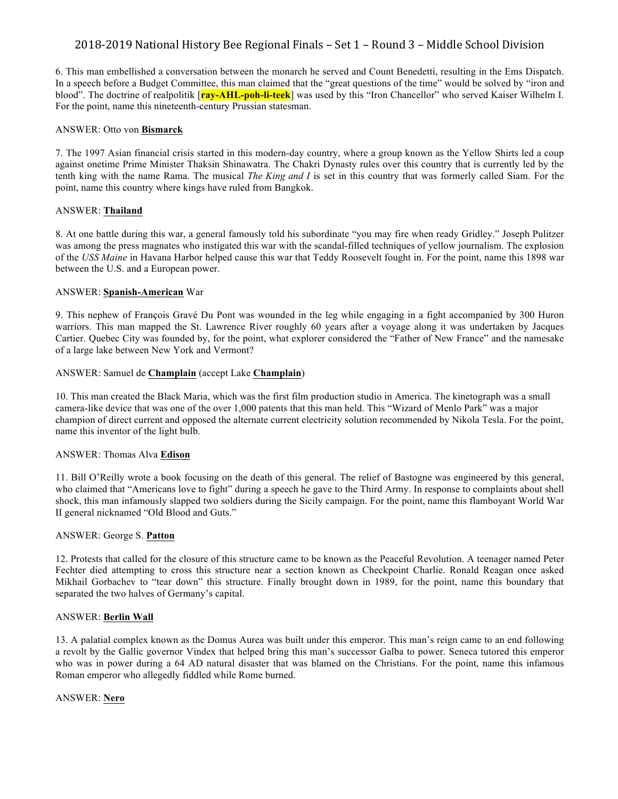6. This man embellished a conversation between the monarch he served and Count Benedetti, resulting in the Ems Dispatch. In a speech before a Budget Committee, this man claimed that the "great questions of the time" would be solved by "iron and blood". The doctrine of realpolitik [**ray-AHL-poh-li-teek**] was used by this "Iron Chancellor" who served Kaiser Wilhelm I. For the point, name this nineteenth-century Prussian statesman.

#### ANSWER: Otto von **Bismarck**

7. The 1997 Asian financial crisis started in this modern-day country, where a group known as the Yellow Shirts led a coup against onetime Prime Minister Thaksin Shinawatra. The Chakri Dynasty rules over this country that is currently led by the tenth king with the name Rama. The musical *The King and I* is set in this country that was formerly called Siam. For the point, name this country where kings have ruled from Bangkok.

# ANSWER: **Thailand**

8. At one battle during this war, a general famously told his subordinate "you may fire when ready Gridley." Joseph Pulitzer was among the press magnates who instigated this war with the scandal-filled techniques of yellow journalism. The explosion of the *USS Maine* in Havana Harbor helped cause this war that Teddy Roosevelt fought in. For the point, name this 1898 war between the U.S. and a European power.

## ANSWER: **Spanish-American** War

9. This nephew of François Gravé Du Pont was wounded in the leg while engaging in a fight accompanied by 300 Huron warriors. This man mapped the St. Lawrence River roughly 60 years after a voyage along it was undertaken by Jacques Cartier. Quebec City was founded by, for the point, what explorer considered the "Father of New France" and the namesake of a large lake between New York and Vermont?

## ANSWER: Samuel de **Champlain** (accept Lake **Champlain**)

10. This man created the Black Maria, which was the first film production studio in America. The kinetograph was a small camera-like device that was one of the over 1,000 patents that this man held. This "Wizard of Menlo Park" was a major champion of direct current and opposed the alternate current electricity solution recommended by Nikola Tesla. For the point, name this inventor of the light bulb.

#### ANSWER: Thomas Alva **Edison**

11. Bill O'Reilly wrote a book focusing on the death of this general. The relief of Bastogne was engineered by this general, who claimed that "Americans love to fight" during a speech he gave to the Third Army. In response to complaints about shell shock, this man infamously slapped two soldiers during the Sicily campaign. For the point, name this flamboyant World War II general nicknamed "Old Blood and Guts."

#### ANSWER: George S. **Patton**

12. Protests that called for the closure of this structure came to be known as the Peaceful Revolution. A teenager named Peter Fechter died attempting to cross this structure near a section known as Checkpoint Charlie. Ronald Reagan once asked Mikhail Gorbachev to "tear down" this structure. Finally brought down in 1989, for the point, name this boundary that separated the two halves of Germany's capital.

#### ANSWER: **Berlin Wall**

13. A palatial complex known as the Domus Aurea was built under this emperor. This man's reign came to an end following a revolt by the Gallic governor Vindex that helped bring this man's successor Galba to power. Seneca tutored this emperor who was in power during a 64 AD natural disaster that was blamed on the Christians. For the point, name this infamous Roman emperor who allegedly fiddled while Rome burned.

#### ANSWER: **Nero**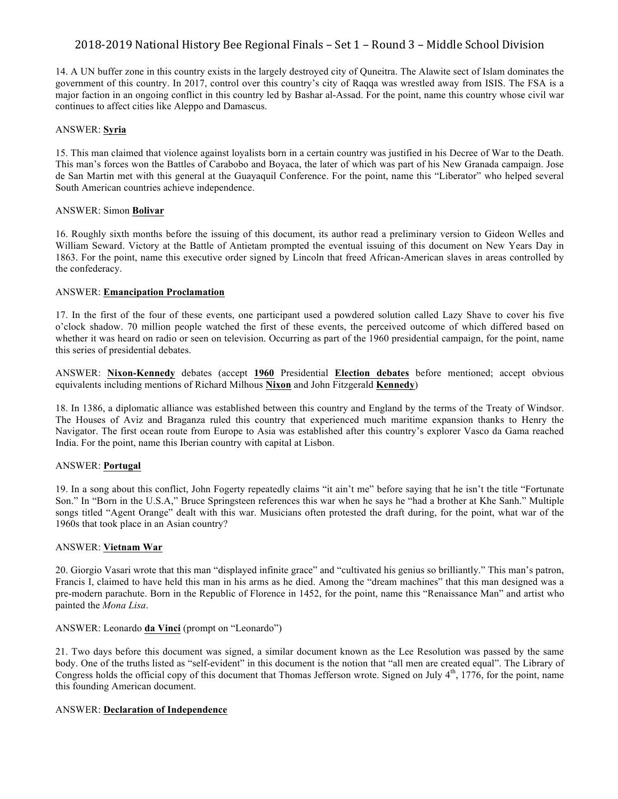14. A UN buffer zone in this country exists in the largely destroyed city of Quneitra. The Alawite sect of Islam dominates the government of this country. In 2017, control over this country's city of Raqqa was wrestled away from ISIS. The FSA is a major faction in an ongoing conflict in this country led by Bashar al-Assad. For the point, name this country whose civil war continues to affect cities like Aleppo and Damascus.

#### ANSWER: **Syria**

15. This man claimed that violence against loyalists born in a certain country was justified in his Decree of War to the Death. This man's forces won the Battles of Carabobo and Boyaca, the later of which was part of his New Granada campaign. Jose de San Martin met with this general at the Guayaquil Conference. For the point, name this "Liberator" who helped several South American countries achieve independence.

## ANSWER: Simon **Bolivar**

16. Roughly sixth months before the issuing of this document, its author read a preliminary version to Gideon Welles and William Seward. Victory at the Battle of Antietam prompted the eventual issuing of this document on New Years Day in 1863. For the point, name this executive order signed by Lincoln that freed African-American slaves in areas controlled by the confederacy.

# ANSWER: **Emancipation Proclamation**

17. In the first of the four of these events, one participant used a powdered solution called Lazy Shave to cover his five o'clock shadow. 70 million people watched the first of these events, the perceived outcome of which differed based on whether it was heard on radio or seen on television. Occurring as part of the 1960 presidential campaign, for the point, name this series of presidential debates.

ANSWER: **Nixon-Kennedy** debates (accept **1960** Presidential **Election debates** before mentioned; accept obvious equivalents including mentions of Richard Milhous **Nixon** and John Fitzgerald **Kennedy**)

18. In 1386, a diplomatic alliance was established between this country and England by the terms of the Treaty of Windsor. The Houses of Aviz and Braganza ruled this country that experienced much maritime expansion thanks to Henry the Navigator. The first ocean route from Europe to Asia was established after this country's explorer Vasco da Gama reached India. For the point, name this Iberian country with capital at Lisbon.

# ANSWER: **Portugal**

19. In a song about this conflict, John Fogerty repeatedly claims "it ain't me" before saying that he isn't the title "Fortunate Son." In "Born in the U.S.A," Bruce Springsteen references this war when he says he "had a brother at Khe Sanh." Multiple songs titled "Agent Orange" dealt with this war. Musicians often protested the draft during, for the point, what war of the 1960s that took place in an Asian country?

#### ANSWER: **Vietnam War**

20. Giorgio Vasari wrote that this man "displayed infinite grace" and "cultivated his genius so brilliantly." This man's patron, Francis I, claimed to have held this man in his arms as he died. Among the "dream machines" that this man designed was a pre-modern parachute. Born in the Republic of Florence in 1452, for the point, name this "Renaissance Man" and artist who painted the *Mona Lisa*.

#### ANSWER: Leonardo **da Vinci** (prompt on "Leonardo")

21. Two days before this document was signed, a similar document known as the Lee Resolution was passed by the same body. One of the truths listed as "self-evident" in this document is the notion that "all men are created equal". The Library of Congress holds the official copy of this document that Thomas Jefferson wrote. Signed on July  $4<sup>th</sup>$ , 1776, for the point, name this founding American document.

#### ANSWER: **Declaration of Independence**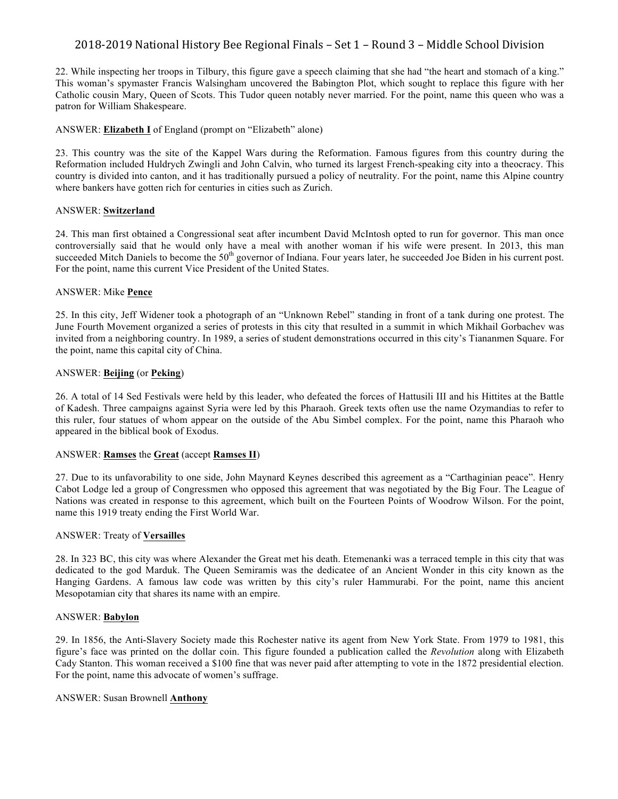22. While inspecting her troops in Tilbury, this figure gave a speech claiming that she had "the heart and stomach of a king." This woman's spymaster Francis Walsingham uncovered the Babington Plot, which sought to replace this figure with her Catholic cousin Mary, Queen of Scots. This Tudor queen notably never married. For the point, name this queen who was a patron for William Shakespeare.

# ANSWER: **Elizabeth I** of England (prompt on "Elizabeth" alone)

23. This country was the site of the Kappel Wars during the Reformation. Famous figures from this country during the Reformation included Huldrych Zwingli and John Calvin, who turned its largest French-speaking city into a theocracy. This country is divided into canton, and it has traditionally pursued a policy of neutrality. For the point, name this Alpine country where bankers have gotten rich for centuries in cities such as Zurich.

## ANSWER: **Switzerland**

24. This man first obtained a Congressional seat after incumbent David McIntosh opted to run for governor. This man once controversially said that he would only have a meal with another woman if his wife were present. In 2013, this man succeeded Mitch Daniels to become the  $50<sup>th</sup>$  governor of Indiana. Four years later, he succeeded Joe Biden in his current post. For the point, name this current Vice President of the United States.

# ANSWER: Mike **Pence**

25. In this city, Jeff Widener took a photograph of an "Unknown Rebel" standing in front of a tank during one protest. The June Fourth Movement organized a series of protests in this city that resulted in a summit in which Mikhail Gorbachev was invited from a neighboring country. In 1989, a series of student demonstrations occurred in this city's Tiananmen Square. For the point, name this capital city of China.

## ANSWER: **Beijing** (or **Peking**)

26. A total of 14 Sed Festivals were held by this leader, who defeated the forces of Hattusili III and his Hittites at the Battle of Kadesh. Three campaigns against Syria were led by this Pharaoh. Greek texts often use the name Ozymandias to refer to this ruler, four statues of whom appear on the outside of the Abu Simbel complex. For the point, name this Pharaoh who appeared in the biblical book of Exodus.

#### ANSWER: **Ramses** the **Great** (accept **Ramses II**)

27. Due to its unfavorability to one side, John Maynard Keynes described this agreement as a "Carthaginian peace". Henry Cabot Lodge led a group of Congressmen who opposed this agreement that was negotiated by the Big Four. The League of Nations was created in response to this agreement, which built on the Fourteen Points of Woodrow Wilson. For the point, name this 1919 treaty ending the First World War.

#### ANSWER: Treaty of **Versailles**

28. In 323 BC, this city was where Alexander the Great met his death. Etemenanki was a terraced temple in this city that was dedicated to the god Marduk. The Queen Semiramis was the dedicatee of an Ancient Wonder in this city known as the Hanging Gardens. A famous law code was written by this city's ruler Hammurabi. For the point, name this ancient Mesopotamian city that shares its name with an empire.

#### ANSWER: **Babylon**

29. In 1856, the Anti-Slavery Society made this Rochester native its agent from New York State. From 1979 to 1981, this figure's face was printed on the dollar coin. This figure founded a publication called the *Revolution* along with Elizabeth Cady Stanton. This woman received a \$100 fine that was never paid after attempting to vote in the 1872 presidential election. For the point, name this advocate of women's suffrage.

# ANSWER: Susan Brownell **Anthony**